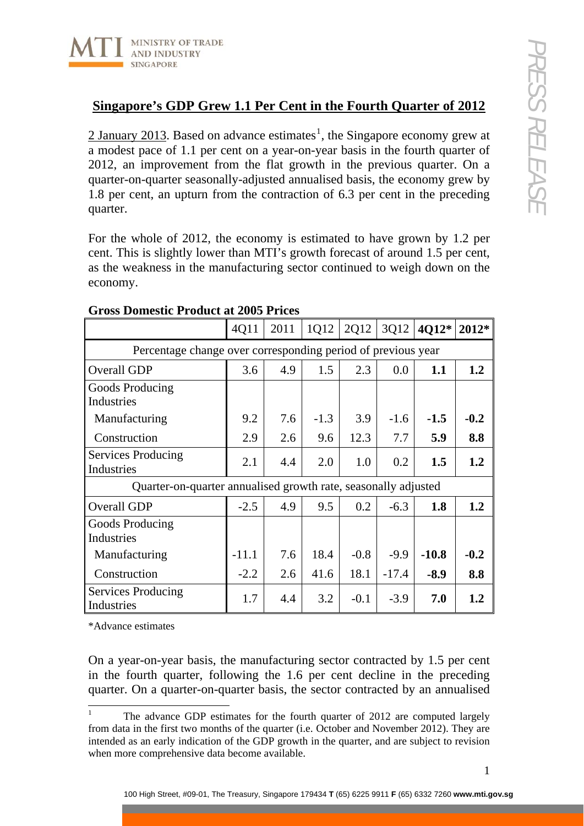

## **Singapore's GDP Grew 1.1 Per Cent in the Fourth Quarter of 2012**

2 January 20[1](#page-0-0)3. Based on advance estimates<sup>1</sup>, the Singapore economy grew at a modest pace of 1.1 per cent on a year-on-year basis in the fourth quarter of 2012, an improvement from the flat growth in the previous quarter. On a quarter-on-quarter seasonally-adjusted annualised basis, the economy grew by 1.8 per cent, an upturn from the contraction of 6.3 per cent in the preceding quarter.

For the whole of 2012, the economy is estimated to have grown by 1.2 per cent. This is slightly lower than MTI's growth forecast of around 1.5 per cent, as the weakness in the manufacturing sector continued to weigh down on the economy.

|                                                                | 4Q11    | 2011 | 1Q12   | 2Q12   | 3Q12    | 4Q12*   | $2012*$ |
|----------------------------------------------------------------|---------|------|--------|--------|---------|---------|---------|
| Percentage change over corresponding period of previous year   |         |      |        |        |         |         |         |
| <b>Overall GDP</b>                                             | 3.6     | 4.9  | 1.5    | 2.3    | 0.0     | 1.1     | 1.2     |
| Goods Producing<br>Industries                                  |         |      |        |        |         |         |         |
| Manufacturing                                                  | 9.2     | 7.6  | $-1.3$ | 3.9    | $-1.6$  | $-1.5$  | $-0.2$  |
| Construction                                                   | 2.9     | 2.6  | 9.6    | 12.3   | 7.7     | 5.9     | 8.8     |
| Services Producing<br>Industries                               | 2.1     | 4.4  | 2.0    | 1.0    | 0.2     | 1.5     | 1.2     |
| Quarter-on-quarter annualised growth rate, seasonally adjusted |         |      |        |        |         |         |         |
| <b>Overall GDP</b>                                             | $-2.5$  | 4.9  | 9.5    | 0.2    | $-6.3$  | 1.8     | 1.2     |
| Goods Producing<br>Industries                                  |         |      |        |        |         |         |         |
| Manufacturing                                                  | $-11.1$ | 7.6  | 18.4   | $-0.8$ | $-9.9$  | $-10.8$ | $-0.2$  |
| Construction                                                   | $-2.2$  | 2.6  | 41.6   | 18.1   | $-17.4$ | $-8.9$  | 8.8     |
| Services Producing<br>Industries                               | 1.7     | 4.4  | 3.2    | $-0.1$ | $-3.9$  | 7.0     | 1.2     |

## **Gross Domestic Product at 2005 Prices**

\*Advance estimates

On a year-on-year basis, the manufacturing sector contracted by 1.5 per cent in the fourth quarter, following the 1.6 per cent decline in the preceding quarter. On a quarter-on-quarter basis, the sector contracted by an annualised

<span id="page-0-0"></span> $\frac{1}{1}$  The advance GDP estimates for the fourth quarter of 2012 are computed largely from data in the first two months of the quarter (i.e. October and November 2012). They are intended as an early indication of the GDP growth in the quarter, and are subject to revision when more comprehensive data become available.